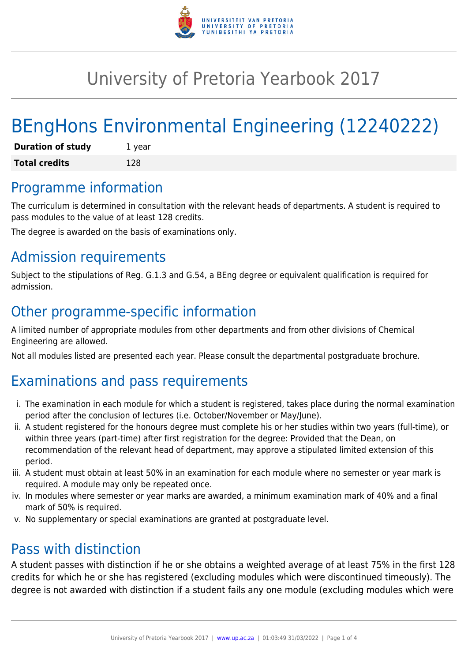

## University of Pretoria Yearbook 2017

# BEngHons Environmental Engineering (12240222)

| <b>Duration of study</b> | 1 year |
|--------------------------|--------|
| <b>Total credits</b>     | 128    |

### Programme information

The curriculum is determined in consultation with the relevant heads of departments. A student is required to pass modules to the value of at least 128 credits.

The degree is awarded on the basis of examinations only.

### Admission requirements

Subject to the stipulations of Reg. G.1.3 and G.54, a BEng degree or equivalent qualification is required for admission.

### Other programme-specific information

A limited number of appropriate modules from other departments and from other divisions of Chemical Engineering are allowed.

Not all modules listed are presented each year. Please consult the departmental postgraduate brochure.

### Examinations and pass requirements

- i. The examination in each module for which a student is registered, takes place during the normal examination period after the conclusion of lectures (i.e. October/November or May/June).
- ii. A student registered for the honours degree must complete his or her studies within two years (full-time), or within three years (part-time) after first registration for the degree: Provided that the Dean, on recommendation of the relevant head of department, may approve a stipulated limited extension of this period.
- iii. A student must obtain at least 50% in an examination for each module where no semester or year mark is required. A module may only be repeated once.
- iv. In modules where semester or year marks are awarded, a minimum examination mark of 40% and a final mark of 50% is required.
- v. No supplementary or special examinations are granted at postgraduate level.

### Pass with distinction

A student passes with distinction if he or she obtains a weighted average of at least 75% in the first 128 credits for which he or she has registered (excluding modules which were discontinued timeously). The degree is not awarded with distinction if a student fails any one module (excluding modules which were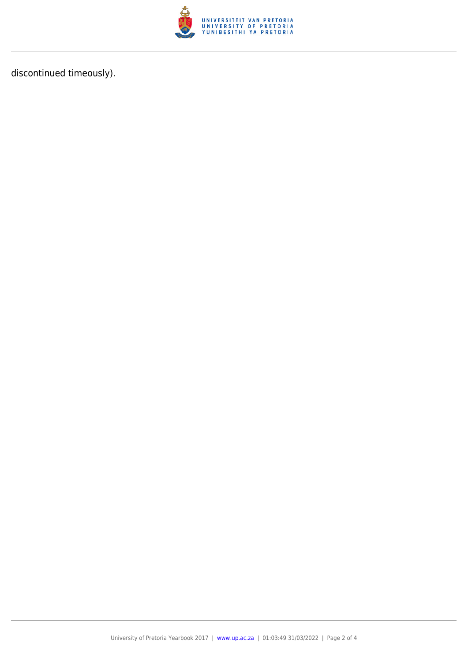

discontinued timeously).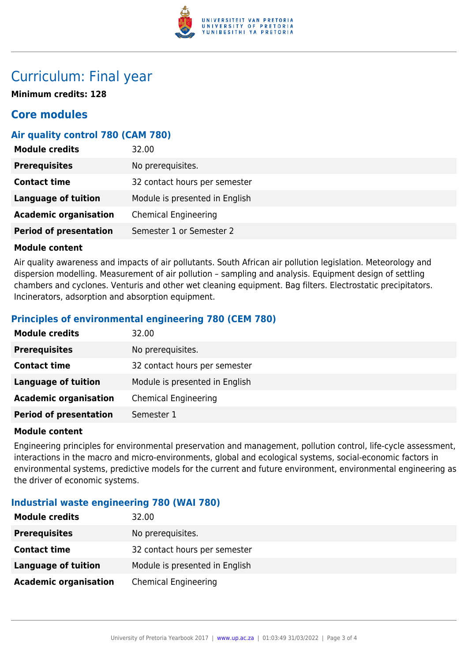

### Curriculum: Final year

**Minimum credits: 128**

#### **Core modules**

#### **Air quality control 780 (CAM 780)**

| <b>Module credits</b>         | 32.00                          |
|-------------------------------|--------------------------------|
| <b>Prerequisites</b>          | No prerequisites.              |
| <b>Contact time</b>           | 32 contact hours per semester  |
| <b>Language of tuition</b>    | Module is presented in English |
| <b>Academic organisation</b>  | <b>Chemical Engineering</b>    |
| <b>Period of presentation</b> | Semester 1 or Semester 2       |

#### **Module content**

Air quality awareness and impacts of air pollutants. South African air pollution legislation. Meteorology and dispersion modelling. Measurement of air pollution – sampling and analysis. Equipment design of settling chambers and cyclones. Venturis and other wet cleaning equipment. Bag filters. Electrostatic precipitators. Incinerators, adsorption and absorption equipment.

#### **Principles of environmental engineering 780 (CEM 780)**

| <b>Module credits</b>         | 32.00                          |
|-------------------------------|--------------------------------|
| <b>Prerequisites</b>          | No prerequisites.              |
| <b>Contact time</b>           | 32 contact hours per semester  |
| <b>Language of tuition</b>    | Module is presented in English |
| <b>Academic organisation</b>  | <b>Chemical Engineering</b>    |
| <b>Period of presentation</b> | Semester 1                     |

#### **Module content**

Engineering principles for environmental preservation and management, pollution control, life-cycle assessment, interactions in the macro and micro-environments, global and ecological systems, social-economic factors in environmental systems, predictive models for the current and future environment, environmental engineering as the driver of economic systems.

#### **Industrial waste engineering 780 (WAI 780)**

| <b>Module credits</b>        | 32.00                          |
|------------------------------|--------------------------------|
| <b>Prerequisites</b>         | No prerequisites.              |
| <b>Contact time</b>          | 32 contact hours per semester  |
| <b>Language of tuition</b>   | Module is presented in English |
| <b>Academic organisation</b> | <b>Chemical Engineering</b>    |